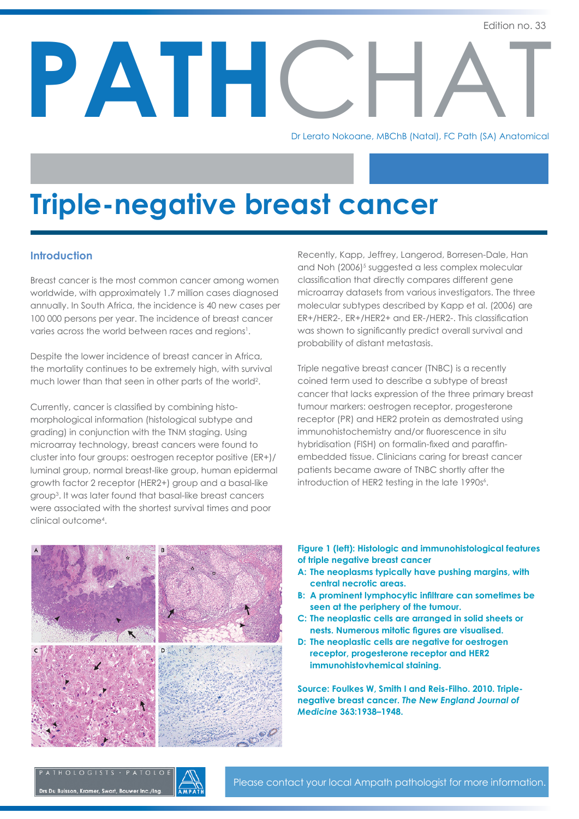PATH AN CONSTRUCTION

Dr Lerato Nokoane, MBChB (Natal), FC Path (SA) Anatomical

# **Triple-negative breast cancer**

#### **Introduction**

Breast cancer is the most common cancer among women worldwide, with approximately 1.7 million cases diagnosed annually. In South Africa, the incidence is 40 new cases per 100 000 persons per year. The incidence of breast cancer varies across the world between races and regions<sup>1</sup>.

Despite the lower incidence of breast cancer in Africa, the mortality continues to be extremely high, with survival much lower than that seen in other parts of the world2 .

Currently, cancer is classified by combining histomorphological information (histological subtype and grading) in conjunction with the TNM staging. Using microarray technology, breast cancers were found to cluster into four groups: oestrogen receptor positive (ER+)/ luminal group, normal breast-like group, human epidermal growth factor 2 receptor (HER2+) group and a basal-like group3 . It was later found that basal-like breast cancers were associated with the shortest survival times and poor clinical outcome4 .

Recently, Kapp, Jeffrey, Langerod, Borresen-Dale, Han and Noh (2006)<sup>5</sup> suggested a less complex molecular classification that directly compares different gene microarray datasets from various investigators. The three molecular subtypes described by Kapp et al. (2006) are ER+/HER2-, ER+/HER2+ and ER-/HER2-. This classification was shown to significantly predict overall survival and probability of distant metastasis.

Triple negative breast cancer (TNBC) is a recently coined term used to describe a subtype of breast cancer that lacks expression of the three primary breast tumour markers: oestrogen receptor, progesterone receptor (PR) and HER2 protein as demostrated using immunohistochemistry and/or fluorescence in situ hybridisation (FISH) on formalin-fixed and paraffinembedded tissue. Clinicians caring for breast cancer patients became aware of TNBC shortly after the introduction of HER2 testing in the late 1990s<sup>6</sup>.



**Figure 1 (left): Histologic and immunohistological features of triple negative breast cancer**

- **A: The neoplasms typically have pushing margins, with central necrotic areas.**
- **B: A prominent lymphocytic infiltrare can sometimes be seen at the periphery of the tumour.**
- **C: The neoplastic cells are arranged in solid sheets or nests. Numerous mitotic figures are visualised.**
- **D: The neoplastic cells are negative for oestrogen receptor, progesterone receptor and HER2 immunohistovhemical staining.**

**Source: Foulkes W, Smith I and Reis-Filho. 2010. Triplenegative breast cancer.** *The New England Journal of Medicine* **363:1938–1948.**

# PATHOLOGISTS · PATOLO Drs Du Buisson, Kramer, Swart, Bouwer Inc./Ing